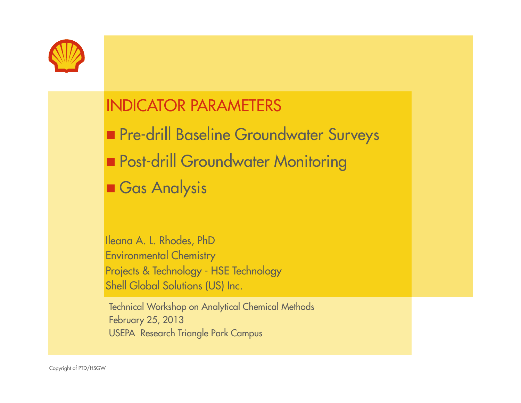

# **INDICATOR PARAMETERS**

Pre-drill Baseline Groundwater Surveys **Post-drill Groundwater Monitoring** Gas Analysis

Ileana A. L. Rhodes, PhD **Environmental Chemistry** Projects & Technology - HSE Technology **Shell Global Solutions (US) Inc.** 

**Technical Workshop on Analytical Chemical Methods February 25, 2013** USEPA Research Triangle Park Campus

Copyright of PTD/HSGW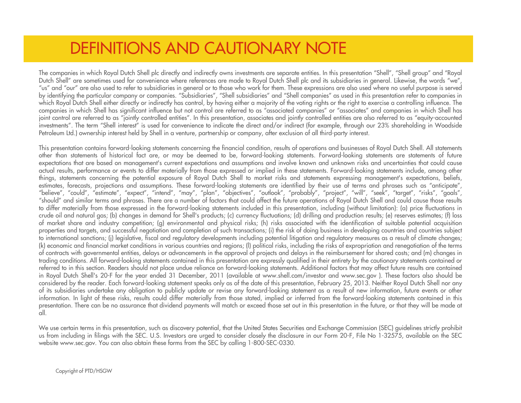## DEFINITIONS AND CAUTIONARY NOTE

The companies in which Royal Dutch Shell plc directly and indirectly owns investments are separate entities. In this presentation "Shell", "Shell group" and "Royal The companies in which Royal Dutch Shell plc directly and indirectly owns investments are separate entities. In this presentation "Shell", "Shell group" and "Royal<br>Dutch Shell" are sometimes used for convenience where refe "us" and "our" are also used to refer to subsidiaries in general or to those who work for them. These expressions are also used where no useful purpose is served by identifying the particular company or companies. "Subsidiaries", "Shell subsidiaries" and "Shell companies" as used in this presentation refer to companies in which Royal Dutch Shell either directly or indirectly has control, by having either <sup>a</sup> majority of the voting rights or the right to exercise <sup>a</sup> controlling influence. The companies in which Shell has significant influence but not control are referred to as "associated companies" or "associates" and companies in which Shell has joint control are referred to as "jointly controlled entities". In this presentation, associates and jointly controlled entities are also referred to as "equity-accounted investments". The term "Shell interest" is used for convenience to indicate the direct and/or indirect (for example, through our 23% shareholding in Woodside Petroleum Ltd.) ownership interest held by Shell in <sup>a</sup> venture, partnership or company, after exclusion of all third-party interest.

This presentation contains forward-looking statements concerning the financial condition, results of operations and businesses of Royal Dutch Shell. All statements other than statements of historical fact are, or may be deemed to be, forward-looking statements. Forward-looking statements are statements of future expectations that are based on management's current expectations and assumptions and involve known and unknown risks and uncertainties that could cause actual results, performance or events to differ materially from those expressed or implied in these statements. Forward-looking statements include, among other things, statements concerning the potential exposure of Royal Dutch Shell to market risks and statements expressing management's expectations, beliefs, estimates, forecasts, projections and assumptions. These forward-looking statements are identified by their use of terms and <sup>p</sup>hrases such as "anticipate", "believe", "could", "estimate", "expect", "intend", "may", "plan", "objectives", "outlook", "probably", "project", "will", "seek", "target", "risks", "goals", "should" and similar terms and <sup>p</sup>hrases. There are <sup>a</sup> number of factors that could affect the future operations of Royal Dutch Shell and could cause those results to differ materially from those expressed in the forward-looking statements included in this presentation, including (without limitation): (a) price fluctuations in crude oil and natural gas; (b) changes in demand for Shell's products; (c) currency fluctuations; (d) drilling and production results; (e) reserves estimates; (f) loss of market share and industry competition; (g) environmental and physical risks; (h) risks associated with the identification of suitable potential acquisition properties and targets, and successful negotiation and completion of such transactions; (i) the risk of doing business in developing countries and countries subject to international sanctions; (j) legislative, fiscal and regulatory developments including potential litigation and regulatory measures as <sup>a</sup> result of climate changes; (k) economic and financial market conditions in various countries and regions; (l) political risks, including the risks of expropriation and renegotiation of the terms of contracts with governmental entities, delays or advancements in the approval of projects and delays in the reimbursement for shared costs; and (m) changes in trading conditions. All forward-looking statements contained in this presentation are expressly qualified in their entirety by the cautionary statements contained or referred to in this section. Readers should not <sup>p</sup>lace undue reliance on forward-looking statements. Additional factors that may affect future results are contained in Royal Dutch Shell's 20-F for the year ended 31 December, 2011 (available at www.shell.com/investor and www.sec.gov ). These factors also should be considered by the reader. Each forward-looking statement speaks only as of the date of this presentation, February 25, 2013. Neither Royal Dutch Shell nor any of its subsidiaries undertake any obligation to publicly update or revise any forward-looking statement as <sup>a</sup> result of new information, future events or other information. In light of these risks, results could differ materially from those stated, implied or inferred from the forward-looking statements contained in this presentation. There can be no assurance that dividend payments will match or exceed those set out in this presentation in the future, or that they will be made at all.

We use certain terms in this presentation, such as discovery potential, that the United States Securities and Exchange Commission (SEC) guidelines strictly prohibit us from including in filings with the SEC. U.S. Investors are urged to consider closely the disclosure in our Form 20-F, File No 1-32575, available on the SEC website www.sec.gov. You can also obtain these forms from the SEC by calling 1-800-SEC-0330.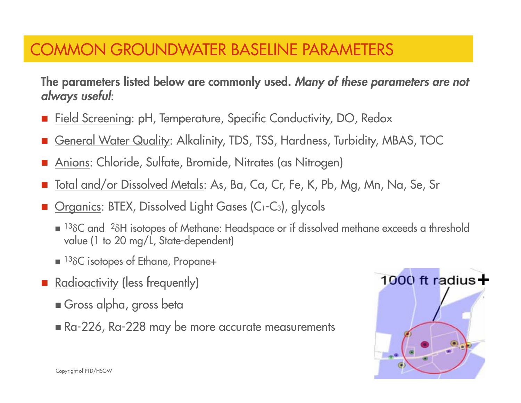# COMMON GROUNDWATER BASELINE PARAMETERS

**The parameters listed below are commonly used.** *Many of these parameters are not always useful*:

- **E** Field Screening: pH, Temperature, Specific Conductivity, DO, Redox
- П General Water Quality: Alkalinity, TDS, TSS, Hardness, Turbidity, MBAS, TOC
- Ξ Anions: Chloride, Sulfate, Bromide, Nitrates (as Nitrogen)
- Ξ Total and/or Dissolved Metals: As, Ba, Ca, Cr, Fe, K, Pb, Mg, Mn, Na, Se, Sr
- П ■ <u>Organics</u>: BTEX, Dissolved Light Gases (C1-C3), glycols
	- $\blacksquare$   $^{13}$ 8C and  $~^{2}$ 8H isotopes of Methane: Headspace or if dissolved methane exceeds a threshold value (1 to 20 mg/L, State-dependent)
	- <sup>13</sup>8C isotopes of Ethane, Propane+
- **Radioactivity (less frequently)** 
	- Gross alpha, gross beta
	- Ra-226, Ra-228 may be more accurate measurements

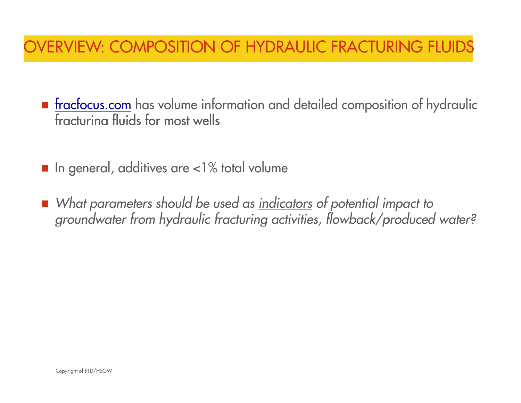# OVERVIEW: COMPOSITION OF HYDRAULIC FRACTURING FLUIDS

**Ficus.com** has volume information and detailed composition of hydraulic fracturing fluids for most wells

- **n** In general, additives are <1% total volume
- *What parameters should be used as indicators of potential impact to*  groundwater from hydraulic fracturing activities, flowback/produced water?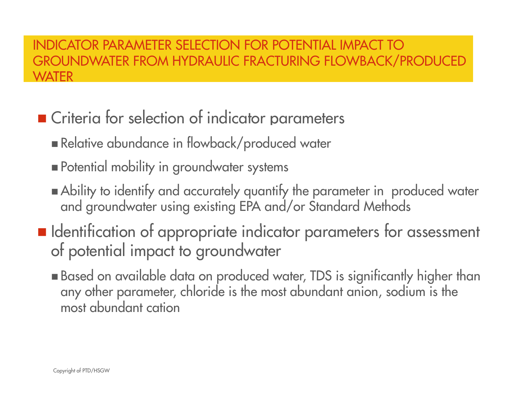### INDICATOR PARAMETER SELECTION FOR POTENTIAL IMPACT TO GROUNDWATER FROM HYDRAULIC FRACTURING FLOWBACK/PRODUCED WATER

- **Executer Criteria for selection of indicator parameters** 
	- Relative abundance in flowback/produced water
	- **Potential mobility in groundwater systems**
	- Ability to identify and accurately quantify the parameter in produced water and groundwater using existing EPA and/or Standard Methods
- **E** Identification of appropriate indicator parameters for assessment of potential impact to groundwater
	- $\blacksquare$  Based on available data on produced water, TDS is significantly higher than any other parameter, chloride is the most abundant anion, sodium is the most abundant cation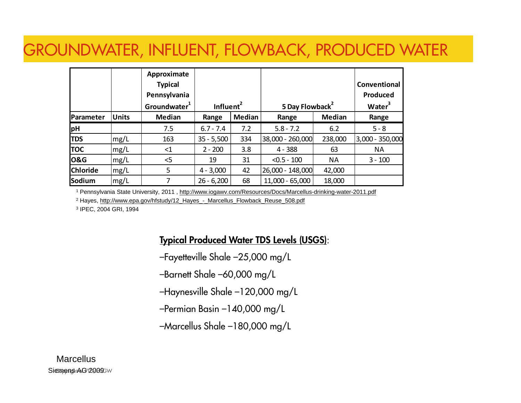## GROUNDWATER, INFLUENT, FLOWBACK, PRODUCED WATER

|                 |              | Approximate<br><b>Typical</b><br>Pennsylvania<br>Groundwater <sup>1</sup> | Influent <sup>2</sup> |        | 5 Day Flowback <sup>2</sup> |               | Conventional<br>Produced<br>Water <sup>3</sup> |
|-----------------|--------------|---------------------------------------------------------------------------|-----------------------|--------|-----------------------------|---------------|------------------------------------------------|
| Parameter       | <b>Units</b> | <b>Median</b>                                                             | Range                 | Median | Range                       | <b>Median</b> | Range                                          |
| pH              |              | 7.5                                                                       | $6.7 - 7.4$           | 7.2    | $5.8 - 7.2$                 | 6.2           | $5 - 8$                                        |
| <b>TDS</b>      | mg/L         | 163                                                                       | $35 - 5,500$          | 334    | 38,000 - 260,000            | 238,000       | 3,000 - 350,000                                |
| <b>TOC</b>      | mg/L         | $\leq$ 1                                                                  | $2 - 200$             | 3.8    | $4 - 388$                   | 63            | <b>NA</b>                                      |
| <b>O&amp;G</b>  | mg/L         | $<$ 5                                                                     | 19                    | 31     | $< 0.5 - 100$               | <b>NA</b>     | $3 - 100$                                      |
| <b>Chloride</b> | mg/L         | 5                                                                         | $4 - 3,000$           | 42     | 26,000 - 148,000            | 42,000        |                                                |
| Sodium          | mg/L         |                                                                           | $26 - 6,200$          | 68     | 11,000 - 65,000             | 18,000        |                                                |

<sup>1</sup> Pennsylvania State University, 2011 , http://www.iogawv.com/Resources/Docs/Marcellus-drinking-water-2011.pdf

2 Hayes, http://www.epa.gov/hfstudy/12\_Hayes\_-\_Marcellus\_Flowback\_Reuse\_508.pdf

3 IPEC, 2004 GRI, 1994

#### **Typical Produced Water TDS Levels (USGS)**:

–Fayetteville Shale –25,000 mg/L

–Barnett Shale –60,000 mg/L

–Haynesville Shale –120,000 mg/L

–Permian Basin –140,000 mg/L

–Marcellus Shale –180,000 mg/L

**Marcellus** Si**emens AG 12009** CW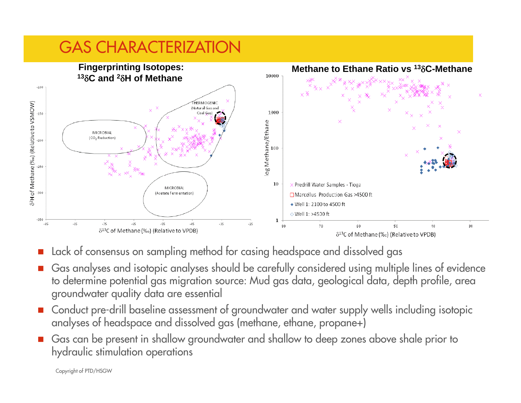

- ×. Lack of consensus on sampling method for casing headspace and dissolved gas
- Gas analyses and isotopic analyses should be carefully considered using multiple lines of evidence to determine potential gas migration source: Mud gas data, geological data, depth profile, area groundwater quality data are essential
- Conduct pre-drill baseline assessment of groundwater and water supply wells including isotopic analyses of headspace and dissolved gas (methane, ethane, propane+)
- Gas can be present in shallow groundwater and shallow to deep zones above shale prior to hydraulic stimulation operations

Copyright of PTD/HSGW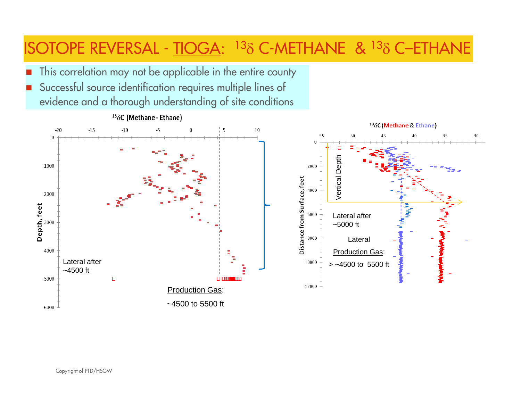### ISOTOPE REVERSAL - TIOGA: 13δ C-METHANE & 13δ C–ETHANE

- F. This correlation may not be applicable in the entire county
- Successful source identification requires multiple lines of evidence and a thorough understanding of site conditions

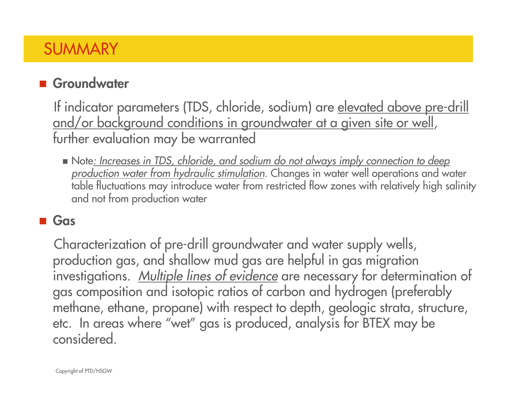## **SUMMARY**

### **Groundwater**

If indicator parameters (TDS, chloride, sodium) are elevated above pre-drill and/or background conditions in groundwater at a given site or well, further evaluation may be warranted

 Note*: Increases in TDS, chloride, and sodium do not always imply connection to deep production water from hydraulic stimulation* . Changes in water well operations and water table fluctuations may introduce water from restricted flow zones with relatively high salinity and not from production water

### **Gas**

Characterization of pre-drill groundwater and water supply wells, production gas, and shallow mud gas are helpful in gas migration investigations. Multiple lines of evidence are necessary for determination of gas composition and isotopic ratios of carbon and hydrogen (preferably methane, ethane, propane) with respect to depth, geologic strata, structure, etc. In areas where "wet" gas is produced, analysis for BTEX may be considered.